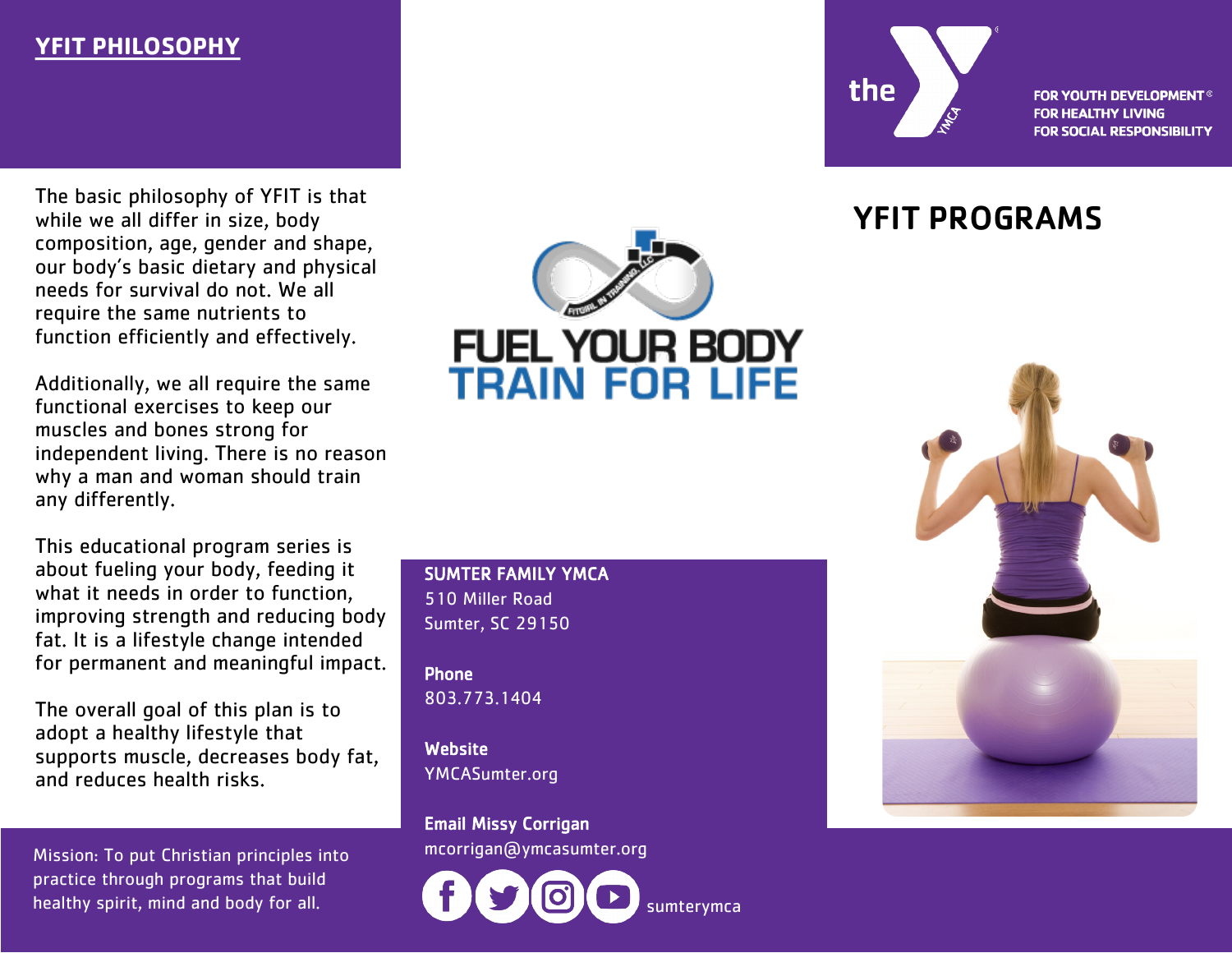# **YFIT PHILOSOPHY**

The basic philosophy of YFIT is that while we all differ in size, body composition, age, gender and shape, our body's basic dietary and physical needs for survival do not. We all require the same nutrients to function efficiently and effectively.

Additionally, we all require the same functional exercises to keep our muscles and bones strong for independent living. There is no reason why a man and woman should train any differently.

This educational program series is about fueling your body, feeding it what it needs in order to function, improving strength and reducing body fat. It is a lifestyle change intended for permanent and meaningful impact.

The overall goal of this plan is to adopt a healthy lifestyle that supports muscle, decreases body fat, and reduces health risks.

Mission: To put Christian principles into mcorrigan@ymcasumter.org practice through programs that build healthy spirit, mind and body for all.

# **FUEL YOUR BODY<br>TRAIN FOR LIFE**

SUMTER FAMILY YMCA 510 Miller Road Sumter, SC 29150

Phone 803.773.1404

**Website** YMCASumter.org

Email Missy Corrigan





**FOR YOUTH DEVELOPMENT® FOR HEALTHY LIVING FOR SOCIAL RESPONSIBILITY** 

# YFIT PROGRAMS